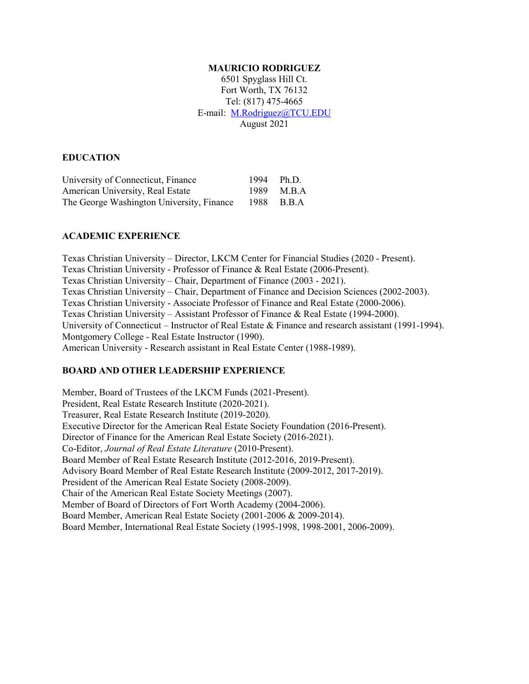#### **MAURICIO RODRIGUEZ**

6501 Spyglass Hill Ct. Fort Worth, TX 76132 Tel: (817) 475-4665 E-mail: [M.Rodriguez@TCU.EDU](mailto:M.Rodriguez@TCU.EDU) August 2021

### **EDUCATION**

| University of Connecticut, Finance        | 1994 Ph.D. |
|-------------------------------------------|------------|
| American University, Real Estate          | 1989 M.B.A |
| The George Washington University, Finance | 1988 B.B.A |

### **ACADEMIC EXPERIENCE**

Texas Christian University – Director, LKCM Center for Financial Studies (2020 - Present). Texas Christian University - Professor of Finance & Real Estate (2006-Present). Texas Christian University – Chair, Department of Finance (2003 - 2021). Texas Christian University – Chair, Department of Finance and Decision Sciences (2002-2003). Texas Christian University - Associate Professor of Finance and Real Estate (2000-2006). Texas Christian University – Assistant Professor of Finance & Real Estate (1994-2000). University of Connecticut – Instructor of Real Estate & Finance and research assistant (1991-1994). Montgomery College - Real Estate Instructor (1990). American University - Research assistant in Real Estate Center (1988-1989).

## **BOARD AND OTHER LEADERSHIP EXPERIENCE**

Member, Board of Trustees of the LKCM Funds (2021-Present). President, Real Estate Research Institute (2020-2021). Treasurer, Real Estate Research Institute (2019-2020). Executive Director for the American Real Estate Society Foundation (2016-Present). Director of Finance for the American Real Estate Society (2016-2021). Co-Editor, *Journal of Real Estate Literature* (2010-Present). Board Member of Real Estate Research Institute (2012-2016, 2019-Present). Advisory Board Member of Real Estate Research Institute (2009-2012, 2017-2019). President of the American Real Estate Society (2008-2009). Chair of the American Real Estate Society Meetings (2007). Member of Board of Directors of Fort Worth Academy (2004-2006). Board Member, American Real Estate Society (2001-2006 & 2009-2014). Board Member, International Real Estate Society (1995-1998, 1998-2001, 2006-2009).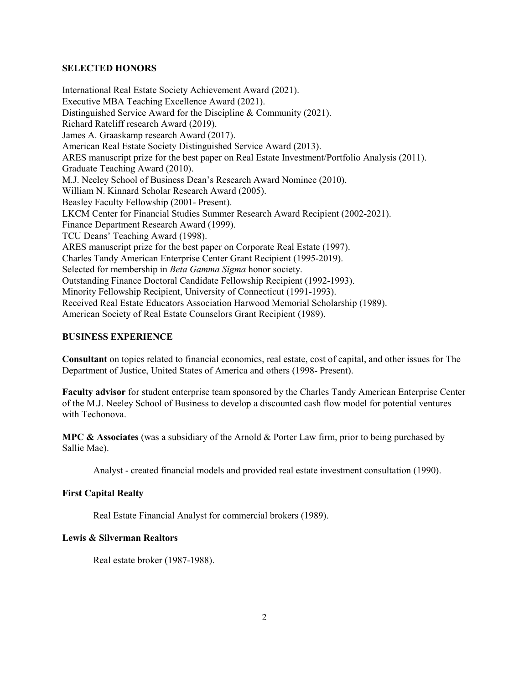### **SELECTED HONORS**

International Real Estate Society Achievement Award (2021). Executive MBA Teaching Excellence Award (2021). Distinguished Service Award for the Discipline & Community (2021). Richard Ratcliff research Award (2019). James A. Graaskamp research Award (2017). American Real Estate Society Distinguished Service Award (2013). ARES manuscript prize for the best paper on Real Estate Investment/Portfolio Analysis (2011). Graduate Teaching Award (2010). M.J. Neeley School of Business Dean's Research Award Nominee (2010). William N. Kinnard Scholar Research Award (2005). Beasley Faculty Fellowship (2001- Present). LKCM Center for Financial Studies Summer Research Award Recipient (2002-2021). Finance Department Research Award (1999). TCU Deans' Teaching Award (1998). ARES manuscript prize for the best paper on Corporate Real Estate (1997). Charles Tandy American Enterprise Center Grant Recipient (1995-2019). Selected for membership in *Beta Gamma Sigma* honor society. Outstanding Finance Doctoral Candidate Fellowship Recipient (1992-1993). Minority Fellowship Recipient, University of Connecticut (1991-1993). Received Real Estate Educators Association Harwood Memorial Scholarship (1989). American Society of Real Estate Counselors Grant Recipient (1989).

## **BUSINESS EXPERIENCE**

**Consultant** on topics related to financial economics, real estate, cost of capital, and other issues for The Department of Justice, United States of America and others (1998- Present).

**Faculty advisor** for student enterprise team sponsored by the Charles Tandy American Enterprise Center of the M.J. Neeley School of Business to develop a discounted cash flow model for potential ventures with Techonova.

**MPC & Associates** (was a subsidiary of the Arnold & Porter Law firm, prior to being purchased by Sallie Mae).

Analyst - created financial models and provided real estate investment consultation (1990).

### **First Capital Realty**

Real Estate Financial Analyst for commercial brokers (1989).

## **Lewis & Silverman Realtors**

Real estate broker (1987-1988).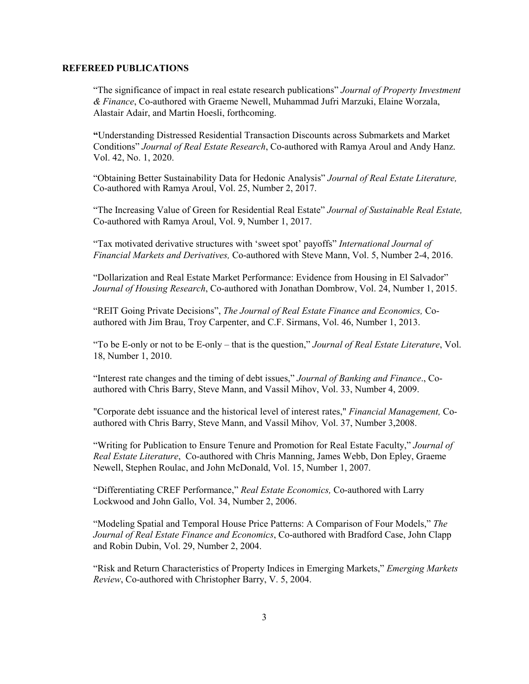#### **REFEREED PUBLICATIONS**

"The significance of impact in real estate research publications" *Journal of Property Investment & Finance*, Co-authored with Graeme Newell, Muhammad Jufri Marzuki, Elaine Worzala, Alastair Adair, and Martin Hoesli, forthcoming.

**"**Understanding Distressed Residential Transaction Discounts across Submarkets and Market Conditions" *Journal of Real Estate Research*, Co-authored with Ramya Aroul and Andy Hanz. Vol. 42, No. 1, 2020.

"Obtaining Better Sustainability Data for Hedonic Analysis" *Journal of Real Estate Literature,*  Co-authored with Ramya Aroul, Vol. 25, Number 2, 2017.

"The Increasing Value of Green for Residential Real Estate" *Journal of Sustainable Real Estate,*  Co-authored with Ramya Aroul, Vol. 9, Number 1, 2017.

"Tax motivated derivative structures with 'sweet spot' payoffs" *International Journal of Financial Markets and Derivatives,* Co-authored with Steve Mann, Vol. 5, Number 2-4, 2016.

"Dollarization and Real Estate Market Performance: Evidence from Housing in El Salvador" *Journal of Housing Research*, Co-authored with Jonathan Dombrow, Vol. 24, Number 1, 2015.

"REIT Going Private Decisions", *The Journal of Real Estate Finance and Economics,* Coauthored with Jim Brau, Troy Carpenter, and C.F. Sirmans, Vol. 46, Number 1, 2013.

"To be E-only or not to be E-only – that is the question," *Journal of Real Estate Literature*, Vol. 18, Number 1, 2010.

"Interest rate changes and the timing of debt issues," *Journal of Banking and Finance*., Coauthored with Chris Barry, Steve Mann, and Vassil Mihov, Vol. 33, Number 4, 2009.

"Corporate debt issuance and the historical level of interest rates," *Financial Management,* Coauthored with Chris Barry, Steve Mann, and Vassil Mihov*,* Vol. 37, Number 3,2008.

"Writing for Publication to Ensure Tenure and Promotion for Real Estate Faculty," *Journal of Real Estate Literature*, Co-authored with Chris Manning, James Webb, Don Epley, Graeme Newell, Stephen Roulac, and John McDonald, Vol. 15, Number 1, 2007.

"Differentiating CREF Performance," *Real Estate Economics,* Co-authored with Larry Lockwood and John Gallo, Vol. 34, Number 2, 2006.

"Modeling Spatial and Temporal House Price Patterns: A Comparison of Four Models," *The Journal of Real Estate Finance and Economics*, Co-authored with Bradford Case, John Clapp and Robin Dubin, Vol. 29, Number 2, 2004.

"Risk and Return Characteristics of Property Indices in Emerging Markets," *Emerging Markets Review*, Co-authored with Christopher Barry, V. 5, 2004.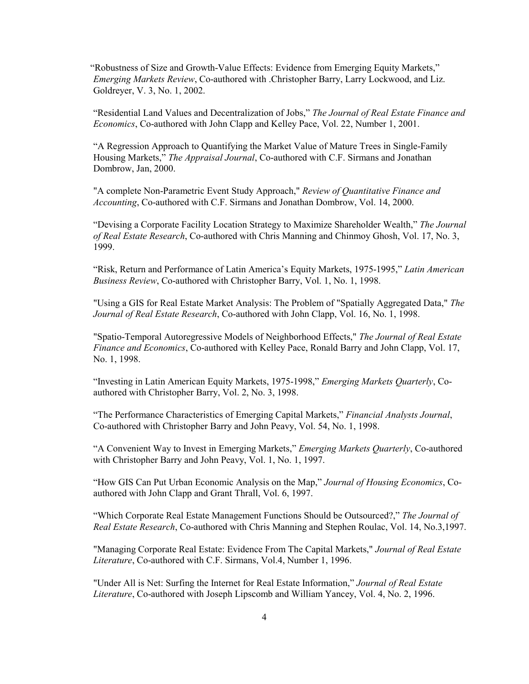"Robustness of Size and Growth-Value Effects: Evidence from Emerging Equity Markets," *Emerging Markets Review*, Co-authored with .Christopher Barry, Larry Lockwood, and Liz. Goldreyer, V. 3, No. 1, 2002.

"Residential Land Values and Decentralization of Jobs," *The Journal of Real Estate Finance and Economics*, Co-authored with John Clapp and Kelley Pace, Vol. 22, Number 1, 2001.

"A Regression Approach to Quantifying the Market Value of Mature Trees in Single-Family Housing Markets," *The Appraisal Journal*, Co-authored with C.F. Sirmans and Jonathan Dombrow, Jan, 2000.

"A complete Non-Parametric Event Study Approach," *Review of Quantitative Finance and Accounting*, Co-authored with C.F. Sirmans and Jonathan Dombrow, Vol. 14, 2000.

"Devising a Corporate Facility Location Strategy to Maximize Shareholder Wealth," *The Journal of Real Estate Research*, Co-authored with Chris Manning and Chinmoy Ghosh, Vol. 17, No. 3, 1999.

"Risk, Return and Performance of Latin America's Equity Markets, 1975-1995," *Latin American Business Review*, Co-authored with Christopher Barry, Vol. 1, No. 1, 1998.

"Using a GIS for Real Estate Market Analysis: The Problem of "Spatially Aggregated Data," *The Journal of Real Estate Research*, Co-authored with John Clapp, Vol. 16, No. 1, 1998.

"Spatio-Temporal Autoregressive Models of Neighborhood Effects," *The Journal of Real Estate Finance and Economics*, Co-authored with Kelley Pace, Ronald Barry and John Clapp, Vol. 17, No. 1, 1998.

"Investing in Latin American Equity Markets, 1975-1998," *Emerging Markets Quarterly*, Coauthored with Christopher Barry, Vol. 2, No. 3, 1998.

"The Performance Characteristics of Emerging Capital Markets," *Financial Analysts Journal*, Co-authored with Christopher Barry and John Peavy, Vol. 54, No. 1, 1998.

"A Convenient Way to Invest in Emerging Markets," *Emerging Markets Quarterly*, Co-authored with Christopher Barry and John Peavy, Vol. 1, No. 1, 1997.

"How GIS Can Put Urban Economic Analysis on the Map," *Journal of Housing Economics*, Coauthored with John Clapp and Grant Thrall, Vol. 6, 1997.

"Which Corporate Real Estate Management Functions Should be Outsourced?," *The Journal of Real Estate Research*, Co-authored with Chris Manning and Stephen Roulac, Vol. 14, No.3,1997.

"Managing Corporate Real Estate: Evidence From The Capital Markets," *Journal of Real Estate Literature*, Co-authored with C.F. Sirmans, Vol.4, Number 1, 1996.

"Under All is Net: Surfing the Internet for Real Estate Information," *Journal of Real Estate Literature*, Co-authored with Joseph Lipscomb and William Yancey, Vol. 4, No. 2, 1996.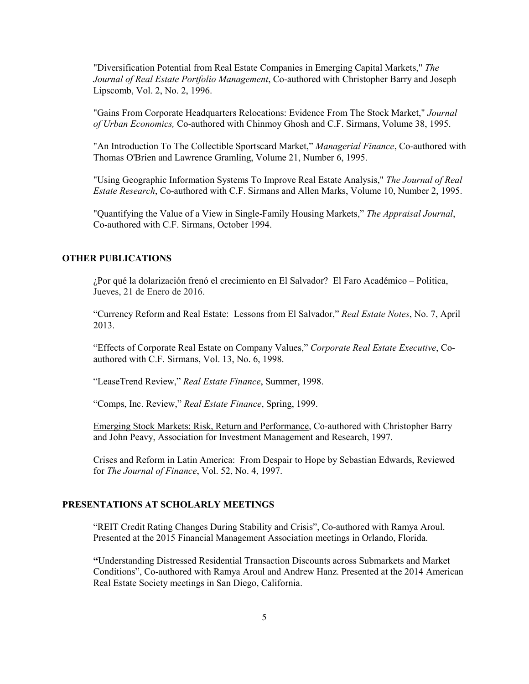"Diversification Potential from Real Estate Companies in Emerging Capital Markets," *The Journal of Real Estate Portfolio Management*, Co-authored with Christopher Barry and Joseph Lipscomb, Vol. 2, No. 2, 1996.

"Gains From Corporate Headquarters Relocations: Evidence From The Stock Market," *Journal of Urban Economics,* Co-authored with Chinmoy Ghosh and C.F. Sirmans, Volume 38, 1995.

"An Introduction To The Collectible Sportscard Market," *Managerial Finance*, Co-authored with Thomas O'Brien and Lawrence Gramling, Volume 21, Number 6, 1995.

"Using Geographic Information Systems To Improve Real Estate Analysis," *The Journal of Real Estate Research*, Co-authored with C.F. Sirmans and Allen Marks, Volume 10, Number 2, 1995.

"Quantifying the Value of a View in Single-Family Housing Markets," *The Appraisal Journal*, Co-authored with C.F. Sirmans, October 1994.

## **OTHER PUBLICATIONS**

¿Por qué la dolarización frenó el crecimiento en El Salvador? [El Faro Académico](http://elfaro.net/es/academico) – Politica, Jueves, 21 de Enero de 2016.

"Currency Reform and Real Estate: Lessons from El Salvador," *Real Estate Notes*, No. 7, April 2013.

"Effects of Corporate Real Estate on Company Values," *Corporate Real Estate Executive*, Coauthored with C.F. Sirmans, Vol. 13, No. 6, 1998.

"LeaseTrend Review," *Real Estate Finance*, Summer, 1998.

"Comps, Inc. Review," *Real Estate Finance*, Spring, 1999.

Emerging Stock Markets: Risk, Return and Performance, Co-authored with Christopher Barry and John Peavy, Association for Investment Management and Research, 1997.

Crises and Reform in Latin America: From Despair to Hope by Sebastian Edwards, Reviewed for *The Journal of Finance*, Vol. 52, No. 4, 1997.

### **PRESENTATIONS AT SCHOLARLY MEETINGS**

"REIT Credit Rating Changes During Stability and Crisis", Co-authored with Ramya Aroul. Presented at the 2015 Financial Management Association meetings in Orlando, Florida.

**"**Understanding Distressed Residential Transaction Discounts across Submarkets and Market Conditions", Co-authored with Ramya Aroul and Andrew Hanz. Presented at the 2014 American Real Estate Society meetings in San Diego, California.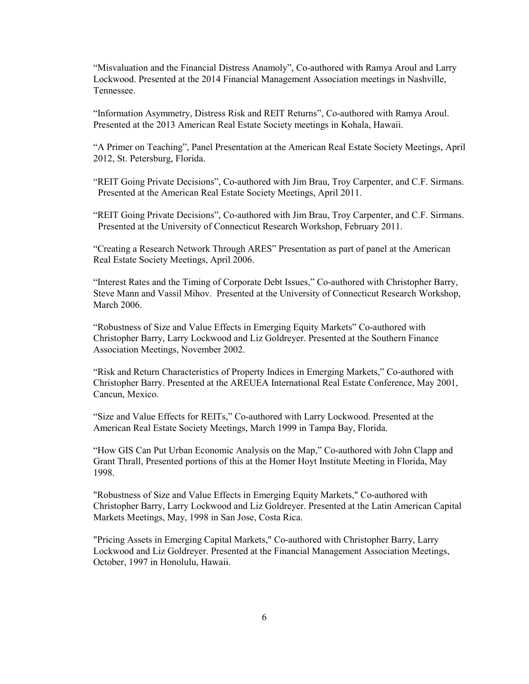"Misvaluation and the Financial Distress Anamoly", Co-authored with Ramya Aroul and Larry Lockwood. Presented at the 2014 Financial Management Association meetings in Nashville, Tennessee.

"Information Asymmetry, Distress Risk and REIT Returns", Co-authored with Ramya Aroul. Presented at the 2013 American Real Estate Society meetings in Kohala, Hawaii.

"A Primer on Teaching", Panel Presentation at the American Real Estate Society Meetings, April 2012, St. Petersburg, Florida.

"REIT Going Private Decisions", Co-authored with Jim Brau, Troy Carpenter, and C.F. Sirmans. Presented at the American Real Estate Society Meetings, April 2011.

"REIT Going Private Decisions", Co-authored with Jim Brau, Troy Carpenter, and C.F. Sirmans. Presented at the University of Connecticut Research Workshop, February 2011.

"Creating a Research Network Through ARES" Presentation as part of panel at the American Real Estate Society Meetings, April 2006.

"Interest Rates and the Timing of Corporate Debt Issues," Co-authored with Christopher Barry, Steve Mann and Vassil Mihov. Presented at the University of Connecticut Research Workshop, March 2006.

"Robustness of Size and Value Effects in Emerging Equity Markets" Co-authored with Christopher Barry, Larry Lockwood and Liz Goldreyer. Presented at the Southern Finance Association Meetings, November 2002.

"Risk and Return Characteristics of Property Indices in Emerging Markets," Co-authored with Christopher Barry. Presented at the AREUEA International Real Estate Conference, May 2001, Cancun, Mexico.

"Size and Value Effects for REITs," Co-authored with Larry Lockwood. Presented at the American Real Estate Society Meetings, March 1999 in Tampa Bay, Florida.

"How GIS Can Put Urban Economic Analysis on the Map," Co-authored with John Clapp and Grant Thrall, Presented portions of this at the Homer Hoyt Institute Meeting in Florida, May 1998.

"Robustness of Size and Value Effects in Emerging Equity Markets," Co-authored with Christopher Barry, Larry Lockwood and Liz Goldreyer. Presented at the Latin American Capital Markets Meetings, May, 1998 in San Jose, Costa Rica.

"Pricing Assets in Emerging Capital Markets," Co-authored with Christopher Barry, Larry Lockwood and Liz Goldreyer. Presented at the Financial Management Association Meetings, October, 1997 in Honolulu, Hawaii.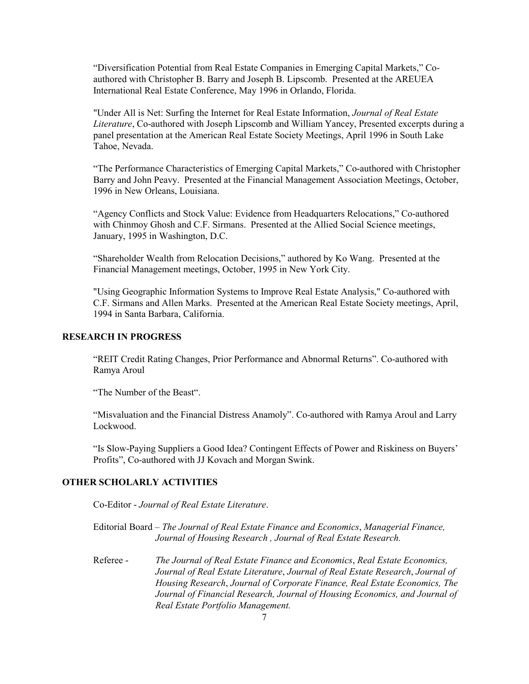"Diversification Potential from Real Estate Companies in Emerging Capital Markets," Coauthored with Christopher B. Barry and Joseph B. Lipscomb. Presented at the AREUEA International Real Estate Conference, May 1996 in Orlando, Florida.

"Under All is Net: Surfing the Internet for Real Estate Information, *Journal of Real Estate Literature*, Co-authored with Joseph Lipscomb and William Yancey, Presented excerpts during a panel presentation at the American Real Estate Society Meetings, April 1996 in South Lake Tahoe, Nevada.

"The Performance Characteristics of Emerging Capital Markets," Co-authored with Christopher Barry and John Peavy. Presented at the Financial Management Association Meetings, October, 1996 in New Orleans, Louisiana.

"Agency Conflicts and Stock Value: Evidence from Headquarters Relocations," Co-authored with Chinmoy Ghosh and C.F. Sirmans. Presented at the Allied Social Science meetings, January, 1995 in Washington, D.C.

"Shareholder Wealth from Relocation Decisions," authored by Ko Wang. Presented at the Financial Management meetings, October, 1995 in New York City.

"Using Geographic Information Systems to Improve Real Estate Analysis," Co-authored with C.F. Sirmans and Allen Marks. Presented at the American Real Estate Society meetings, April, 1994 in Santa Barbara, California.

## **RESEARCH IN PROGRESS**

"REIT Credit Rating Changes, Prior Performance and Abnormal Returns". Co-authored with Ramya Aroul

"The Number of the Beast".

"Misvaluation and the Financial Distress Anamoly". Co-authored with Ramya Aroul and Larry Lockwood.

"Is Slow-Paying Suppliers a Good Idea? Contingent Effects of Power and Riskiness on Buyers' Profits", Co-authored with JJ Kovach and Morgan Swink.

# **OTHER SCHOLARLY ACTIVITIES**

Co-Editor - *Journal of Real Estate Literature*.

Editorial Board – *The Journal of Real Estate Finance and Economics*, *Managerial Finance, Journal of Housing Research , Journal of Real Estate Research.*

Referee - *The Journal of Real Estate Finance and Economics*, *Real Estate Economics, Journal of Real Estate Literature*, *Journal of Real Estate Research*, *Journal of Housing Research*, *Journal of Corporate Finance, Real Estate Economics, The Journal of Financial Research, Journal of Housing Economics, and Journal of Real Estate Portfolio Management.*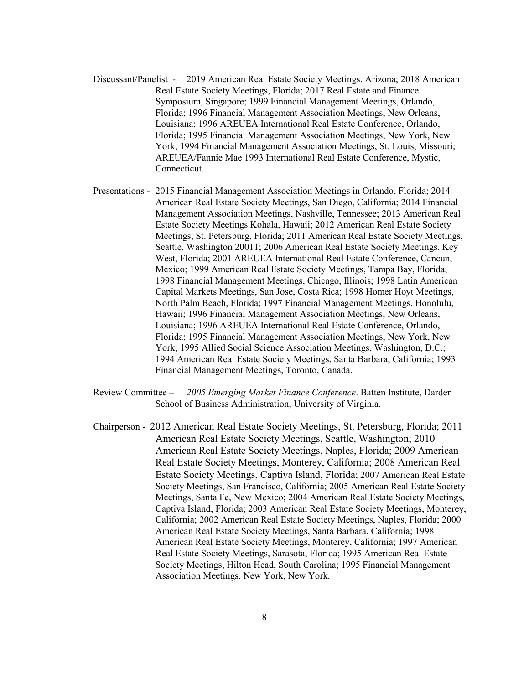- Discussant/Panelist 2019 American Real Estate Society Meetings, Arizona; 2018 American Real Estate Society Meetings, Florida; 2017 Real Estate and Finance Symposium, Singapore; 1999 Financial Management Meetings, Orlando, Florida; 1996 Financial Management Association Meetings, New Orleans, Louisiana; 1996 AREUEA International Real Estate Conference, Orlando, Florida; 1995 Financial Management Association Meetings, New York, New York; 1994 Financial Management Association Meetings, St. Louis, Missouri; AREUEA/Fannie Mae 1993 International Real Estate Conference, Mystic, Connecticut.
- Presentations 2015 Financial Management Association Meetings in Orlando, Florida; 2014 American Real Estate Society Meetings, San Diego, California; 2014 Financial Management Association Meetings, Nashville, Tennessee; 2013 American Real Estate Society Meetings Kohala, Hawaii; 2012 American Real Estate Society Meetings, St. Petersburg, Florida; 2011 American Real Estate Society Meetings, Seattle, Washington 20011; 2006 American Real Estate Society Meetings, Key West, Florida; 2001 AREUEA International Real Estate Conference, Cancun, Mexico; 1999 American Real Estate Society Meetings, Tampa Bay, Florida; 1998 Financial Management Meetings, Chicago, Illinois; 1998 Latin American Capital Markets Meetings, San Jose, Costa Rica; 1998 Homer Hoyt Meetings, North Palm Beach, Florida; 1997 Financial Management Meetings, Honolulu, Hawaii; 1996 Financial Management Association Meetings, New Orleans, Louisiana; 1996 AREUEA International Real Estate Conference, Orlando, Florida; 1995 Financial Management Association Meetings, New York, New York; 1995 Allied Social Science Association Meetings, Washington, D.C.; 1994 American Real Estate Society Meetings, Santa Barbara, California; 1993 Financial Management Meetings, Toronto, Canada.
- Review Committee *2005 Emerging Market Finance Conference*. Batten Institute, Darden School of Business Administration, University of Virginia.
- Chairperson 2012 American Real Estate Society Meetings, St. Petersburg, Florida; 2011 American Real Estate Society Meetings, Seattle, Washington; 2010 American Real Estate Society Meetings, Naples, Florida; 2009 American Real Estate Society Meetings, Monterey, California; 2008 American Real Estate Society Meetings, Captiva Island, Florida; 2007 American Real Estate Society Meetings, San Francisco, California; 2005 American Real Estate Society Meetings, Santa Fe, New Mexico; 2004 American Real Estate Society Meetings, Captiva Island, Florida; 2003 American Real Estate Society Meetings, Monterey, California; 2002 American Real Estate Society Meetings, Naples, Florida; 2000 American Real Estate Society Meetings, Santa Barbara, California; 1998 American Real Estate Society Meetings, Monterey, California; 1997 American Real Estate Society Meetings, Sarasota, Florida; 1995 American Real Estate Society Meetings, Hilton Head, South Carolina; 1995 Financial Management Association Meetings, New York, New York.